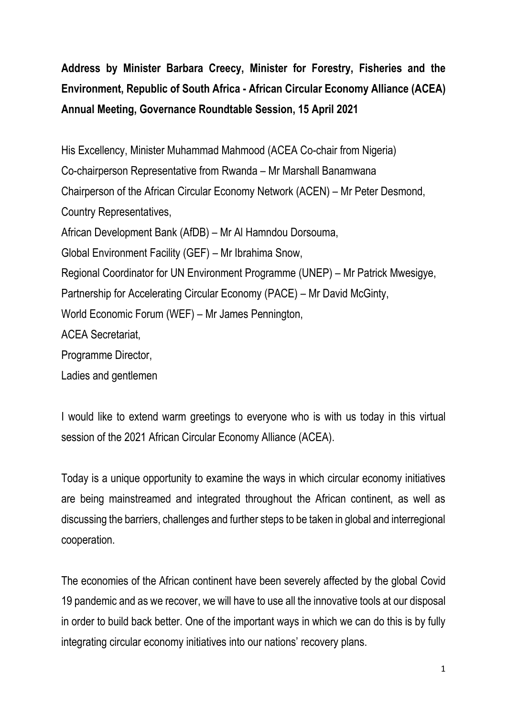**Address by Minister Barbara Creecy, Minister for Forestry, Fisheries and the Environment, Republic of South Africa - African Circular Economy Alliance (ACEA) Annual Meeting, Governance Roundtable Session, 15 April 2021**

His Excellency, Minister Muhammad Mahmood (ACEA Co-chair from Nigeria) Co-chairperson Representative from Rwanda – Mr Marshall Banamwana Chairperson of the African Circular Economy Network (ACEN) – Mr Peter Desmond, Country Representatives, African Development Bank (AfDB) – Mr Al Hamndou Dorsouma, Global Environment Facility (GEF) – Mr Ibrahima Snow, Regional Coordinator for UN Environment Programme (UNEP) – Mr Patrick Mwesigye, Partnership for Accelerating Circular Economy (PACE) – Mr David McGinty, World Economic Forum (WEF) – Mr James Pennington, ACEA Secretariat, Programme Director,

Ladies and gentlemen

I would like to extend warm greetings to everyone who is with us today in this virtual session of the 2021 African Circular Economy Alliance (ACEA).

Today is a unique opportunity to examine the ways in which circular economy initiatives are being mainstreamed and integrated throughout the African continent, as well as discussing the barriers, challenges and further steps to be taken in global and interregional cooperation.

The economies of the African continent have been severely affected by the global Covid 19 pandemic and as we recover, we will have to use all the innovative tools at our disposal in order to build back better. One of the important ways in which we can do this is by fully integrating circular economy initiatives into our nations' recovery plans.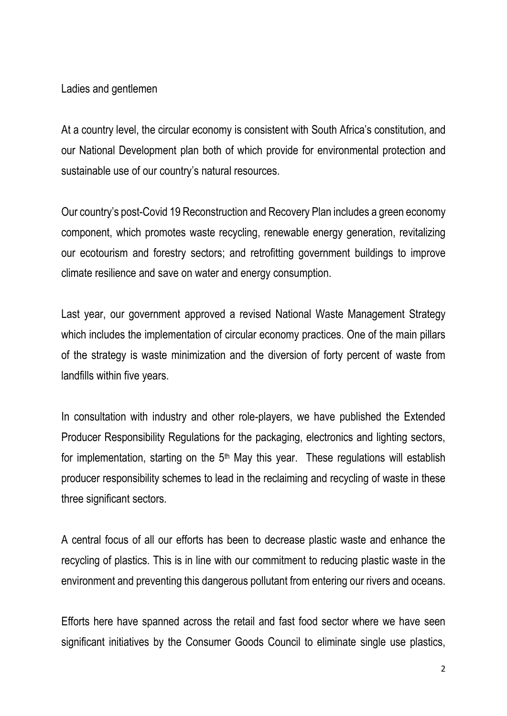Ladies and gentlemen

At a country level, the circular economy is consistent with South Africa's constitution, and our National Development plan both of which provide for environmental protection and sustainable use of our country's natural resources.

Our country's post-Covid 19 Reconstruction and Recovery Plan includes a green economy component, which promotes waste recycling, renewable energy generation, revitalizing our ecotourism and forestry sectors; and retrofitting government buildings to improve climate resilience and save on water and energy consumption.

Last year, our government approved a revised National Waste Management Strategy which includes the implementation of circular economy practices. One of the main pillars of the strategy is waste minimization and the diversion of forty percent of waste from landfills within five years.

In consultation with industry and other role-players, we have published the Extended Producer Responsibility Regulations for the packaging, electronics and lighting sectors, for implementation, starting on the  $5<sup>th</sup>$  May this year. These regulations will establish producer responsibility schemes to lead in the reclaiming and recycling of waste in these three significant sectors.

A central focus of all our efforts has been to decrease plastic waste and enhance the recycling of plastics. This is in line with our commitment to reducing plastic waste in the environment and preventing this dangerous pollutant from entering our rivers and oceans.

Efforts here have spanned across the retail and fast food sector where we have seen significant initiatives by the Consumer Goods Council to eliminate single use plastics,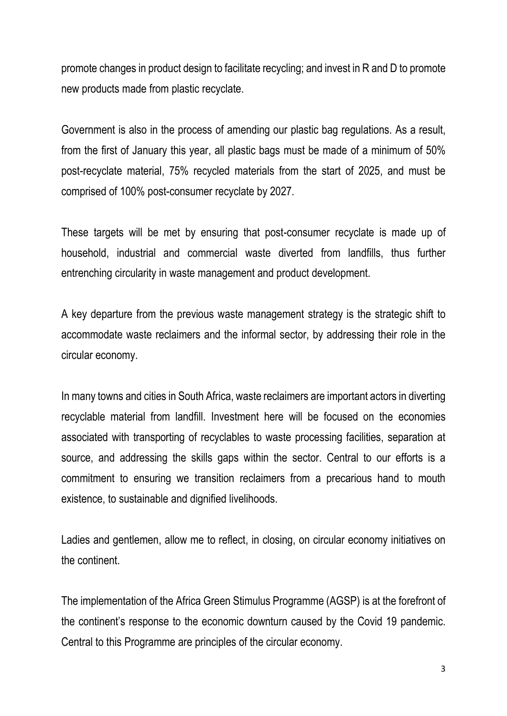promote changes in product design to facilitate recycling; and invest in R and D to promote new products made from plastic recyclate.

Government is also in the process of amending our plastic bag regulations. As a result, from the first of January this year, all plastic bags must be made of a minimum of 50% post-recyclate material, 75% recycled materials from the start of 2025, and must be comprised of 100% post-consumer recyclate by 2027.

These targets will be met by ensuring that post-consumer recyclate is made up of household, industrial and commercial waste diverted from landfills, thus further entrenching circularity in waste management and product development.

A key departure from the previous waste management strategy is the strategic shift to accommodate waste reclaimers and the informal sector, by addressing their role in the circular economy.

In many towns and cities in South Africa, waste reclaimers are important actors in diverting recyclable material from landfill. Investment here will be focused on the economies associated with transporting of recyclables to waste processing facilities, separation at source, and addressing the skills gaps within the sector. Central to our efforts is a commitment to ensuring we transition reclaimers from a precarious hand to mouth existence, to sustainable and dignified livelihoods.

Ladies and gentlemen, allow me to reflect, in closing, on circular economy initiatives on the continent.

The implementation of the Africa Green Stimulus Programme (AGSP) is at the forefront of the continent's response to the economic downturn caused by the Covid 19 pandemic. Central to this Programme are principles of the circular economy.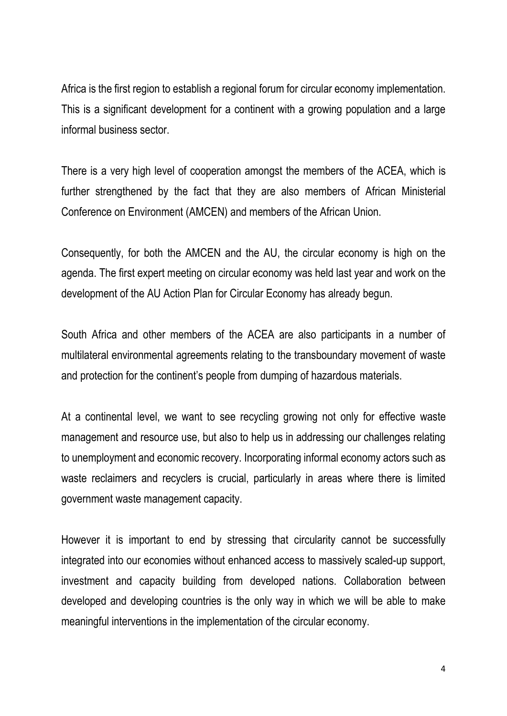Africa is the first region to establish a regional forum for circular economy implementation. This is a significant development for a continent with a growing population and a large informal business sector.

There is a very high level of cooperation amongst the members of the ACEA, which is further strengthened by the fact that they are also members of African Ministerial Conference on Environment (AMCEN) and members of the African Union.

Consequently, for both the AMCEN and the AU, the circular economy is high on the agenda. The first expert meeting on circular economy was held last year and work on the development of the AU Action Plan for Circular Economy has already begun.

South Africa and other members of the ACEA are also participants in a number of multilateral environmental agreements relating to the transboundary movement of waste and protection for the continent's people from dumping of hazardous materials.

At a continental level, we want to see recycling growing not only for effective waste management and resource use, but also to help us in addressing our challenges relating to unemployment and economic recovery. Incorporating informal economy actors such as waste reclaimers and recyclers is crucial, particularly in areas where there is limited government waste management capacity.

However it is important to end by stressing that circularity cannot be successfully integrated into our economies without enhanced access to massively scaled-up support, investment and capacity building from developed nations. Collaboration between developed and developing countries is the only way in which we will be able to make meaningful interventions in the implementation of the circular economy.

4